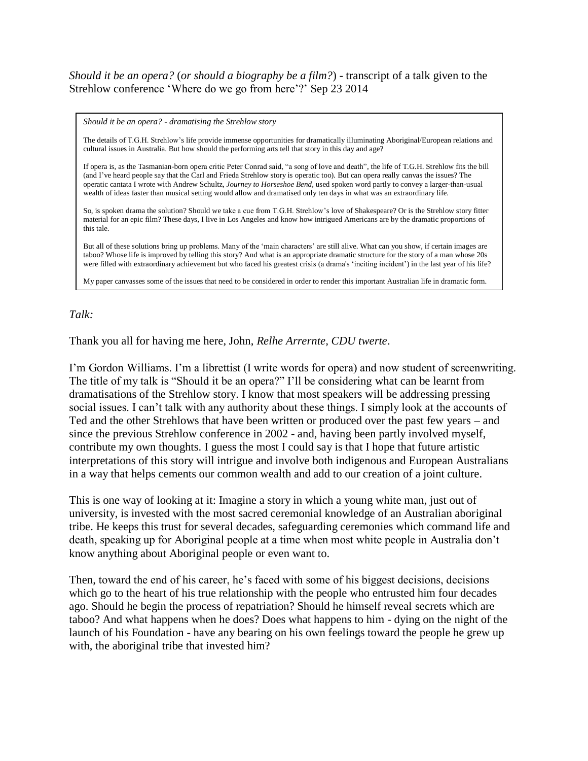## *Should it be an opera?* (*or should a biography be a film?*) - transcript of a talk given to the Strehlow conference "Where do we go from here"?" Sep 23 2014

*Should it be an opera? - dramatising the Strehlow story*

The details of T.G.H. Strehlow"s life provide immense opportunities for dramatically illuminating Aboriginal/European relations and cultural issues in Australia. But how should the performing arts tell that story in this day and age?

If opera is, as the Tasmanian-born opera critic Peter Conrad said, "a song of love and death", the life of T.G.H. Strehlow fits the bill (and I"ve heard people say that the Carl and Frieda Strehlow story is operatic too). But can opera really canvas the issues? The operatic cantata I wrote with Andrew Schultz, *Journey to Horseshoe Bend*, used spoken word partly to convey a larger-than-usual wealth of ideas faster than musical setting would allow and dramatised only ten days in what was an extraordinary life.

So, is spoken drama the solution? Should we take a cue from T.G.H. Strehlow"s love of Shakespeare? Or is the Strehlow story fitter material for an epic film? These days, I live in Los Angeles and know how intrigued Americans are by the dramatic proportions of this tale.

But all of these solutions bring up problems. Many of the 'main characters' are still alive. What can you show, if certain images are taboo? Whose life is improved by telling this story? And what is an appropriate dramatic structure for the story of a man whose 20s were filled with extraordinary achievement but who faced his greatest crisis (a drama's 'inciting incident') in the last year of his life?

My paper canvasses some of the issues that need to be considered in order to render this important Australian life in dramatic form.

## *Talk:*

Thank you all for having me here, John, *Relhe Arrernte, CDU twerte*.

I"m Gordon Williams. I"m a librettist (I write words for opera) and now student of screenwriting. The title of my talk is "Should it be an opera?" I"ll be considering what can be learnt from dramatisations of the Strehlow story. I know that most speakers will be addressing pressing social issues. I can't talk with any authority about these things. I simply look at the accounts of Ted and the other Strehlows that have been written or produced over the past few years – and since the previous Strehlow conference in 2002 - and, having been partly involved myself, contribute my own thoughts. I guess the most I could say is that I hope that future artistic interpretations of this story will intrigue and involve both indigenous and European Australians in a way that helps cements our common wealth and add to our creation of a joint culture.

This is one way of looking at it: Imagine a story in which a young white man, just out of university, is invested with the most sacred ceremonial knowledge of an Australian aboriginal tribe. He keeps this trust for several decades, safeguarding ceremonies which command life and death, speaking up for Aboriginal people at a time when most white people in Australia don"t know anything about Aboriginal people or even want to.

Then, toward the end of his career, he's faced with some of his biggest decisions, decisions which go to the heart of his true relationship with the people who entrusted him four decades ago. Should he begin the process of repatriation? Should he himself reveal secrets which are taboo? And what happens when he does? Does what happens to him - dying on the night of the launch of his Foundation - have any bearing on his own feelings toward the people he grew up with, the aboriginal tribe that invested him?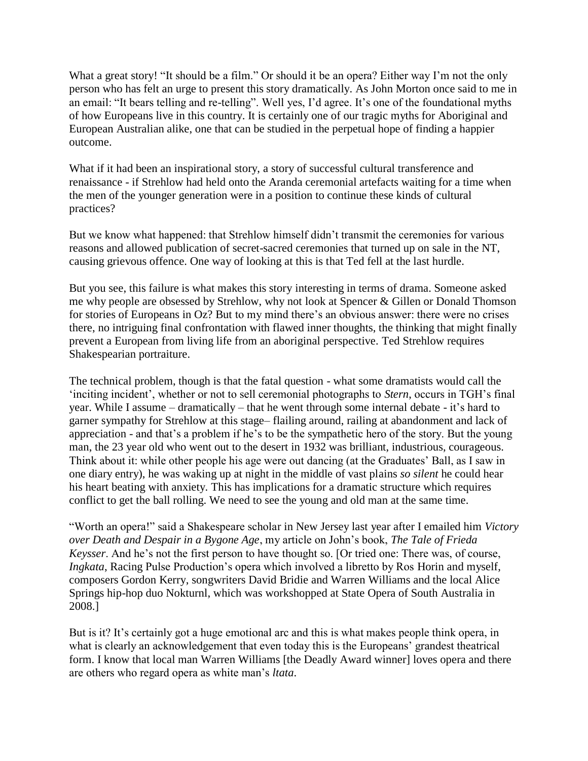What a great story! "It should be a film." Or should it be an opera? Either way I'm not the only person who has felt an urge to present this story dramatically. As John Morton once said to me in an email: "It bears telling and re-telling". Well yes, I'd agree. It's one of the foundational myths of how Europeans live in this country. It is certainly one of our tragic myths for Aboriginal and European Australian alike, one that can be studied in the perpetual hope of finding a happier outcome.

What if it had been an inspirational story, a story of successful cultural transference and renaissance - if Strehlow had held onto the Aranda ceremonial artefacts waiting for a time when the men of the younger generation were in a position to continue these kinds of cultural practices?

But we know what happened: that Strehlow himself didn"t transmit the ceremonies for various reasons and allowed publication of secret-sacred ceremonies that turned up on sale in the NT, causing grievous offence. One way of looking at this is that Ted fell at the last hurdle.

But you see, this failure is what makes this story interesting in terms of drama. Someone asked me why people are obsessed by Strehlow, why not look at Spencer & Gillen or Donald Thomson for stories of Europeans in Oz? But to my mind there"s an obvious answer: there were no crises there, no intriguing final confrontation with flawed inner thoughts, the thinking that might finally prevent a European from living life from an aboriginal perspective. Ted Strehlow requires Shakespearian portraiture.

The technical problem, though is that the fatal question - what some dramatists would call the "inciting incident", whether or not to sell ceremonial photographs to *Stern*, occurs in TGH"s final year. While I assume – dramatically – that he went through some internal debate - it"s hard to garner sympathy for Strehlow at this stage– flailing around, railing at abandonment and lack of appreciation - and that"s a problem if he"s to be the sympathetic hero of the story. But the young man, the 23 year old who went out to the desert in 1932 was brilliant, industrious, courageous. Think about it: while other people his age were out dancing (at the Graduates" Ball, as I saw in one diary entry), he was waking up at night in the middle of vast plains *so silent* he could hear his heart beating with anxiety. This has implications for a dramatic structure which requires conflict to get the ball rolling. We need to see the young and old man at the same time.

"Worth an opera!" said a Shakespeare scholar in New Jersey last year after I emailed him *Victory over Death and Despair in a Bygone Age*, my article on John"s book, *The Tale of Frieda Keysser*. And he's not the first person to have thought so. [Or tried one: There was, of course, *Ingkata*, Racing Pulse Production's opera which involved a libretto by Ros Horin and myself, composers Gordon Kerry, songwriters David Bridie and Warren Williams and the local Alice Springs hip-hop duo Nokturnl, which was workshopped at State Opera of South Australia in 2008.]

But is it? It's certainly got a huge emotional arc and this is what makes people think opera, in what is clearly an acknowledgement that even today this is the Europeans' grandest theatrical form. I know that local man Warren Williams [the Deadly Award winner] loves opera and there are others who regard opera as white man"s *ltata*.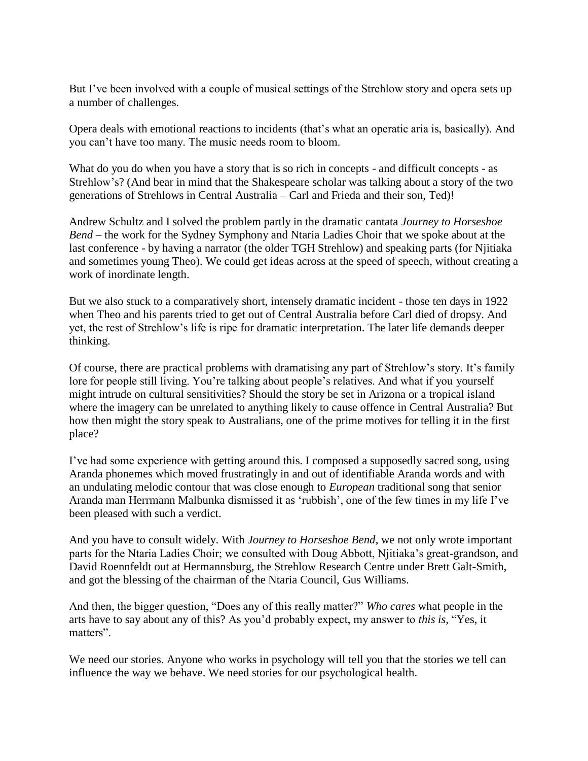But I've been involved with a couple of musical settings of the Strehlow story and opera sets up a number of challenges.

Opera deals with emotional reactions to incidents (that"s what an operatic aria is, basically). And you can"t have too many. The music needs room to bloom.

What do you do when you have a story that is so rich in concepts - and difficult concepts - as Strehlow"s? (And bear in mind that the Shakespeare scholar was talking about a story of the two generations of Strehlows in Central Australia – Carl and Frieda and their son, Ted)!

Andrew Schultz and I solved the problem partly in the dramatic cantata *Journey to Horseshoe Bend* – the work for the Sydney Symphony and Ntaria Ladies Choir that we spoke about at the last conference - by having a narrator (the older TGH Strehlow) and speaking parts (for Njitiaka and sometimes young Theo). We could get ideas across at the speed of speech, without creating a work of inordinate length.

But we also stuck to a comparatively short, intensely dramatic incident - those ten days in 1922 when Theo and his parents tried to get out of Central Australia before Carl died of dropsy. And yet, the rest of Strehlow"s life is ripe for dramatic interpretation. The later life demands deeper thinking.

Of course, there are practical problems with dramatising any part of Strehlow's story. It's family lore for people still living. You're talking about people's relatives. And what if you yourself might intrude on cultural sensitivities? Should the story be set in Arizona or a tropical island where the imagery can be unrelated to anything likely to cause offence in Central Australia? But how then might the story speak to Australians, one of the prime motives for telling it in the first place?

I"ve had some experience with getting around this. I composed a supposedly sacred song, using Aranda phonemes which moved frustratingly in and out of identifiable Aranda words and with an undulating melodic contour that was close enough to *European* traditional song that senior Aranda man Herrmann Malbunka dismissed it as "rubbish", one of the few times in my life I"ve been pleased with such a verdict.

And you have to consult widely. With *Journey to Horseshoe Bend*, we not only wrote important parts for the Ntaria Ladies Choir; we consulted with Doug Abbott, Njitiaka"s great-grandson, and David Roennfeldt out at Hermannsburg, the Strehlow Research Centre under Brett Galt-Smith, and got the blessing of the chairman of the Ntaria Council, Gus Williams.

And then, the bigger question, "Does any of this really matter?" *Who cares* what people in the arts have to say about any of this? As you"d probably expect, my answer to *this is,* "Yes, it matters".

We need our stories. Anyone who works in psychology will tell you that the stories we tell can influence the way we behave. We need stories for our psychological health.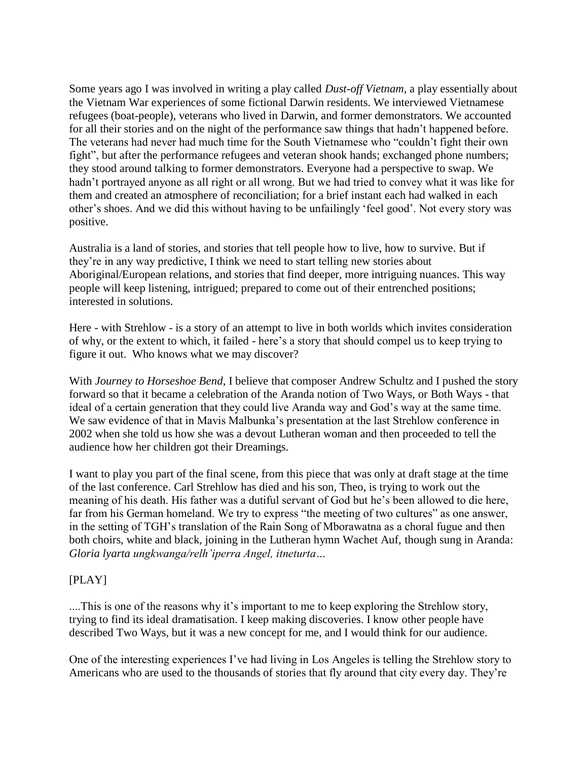Some years ago I was involved in writing a play called *Dust-off Vietnam*, a play essentially about the Vietnam War experiences of some fictional Darwin residents. We interviewed Vietnamese refugees (boat-people), veterans who lived in Darwin, and former demonstrators. We accounted for all their stories and on the night of the performance saw things that hadn"t happened before. The veterans had never had much time for the South Vietnamese who "couldn"t fight their own fight", but after the performance refugees and veteran shook hands; exchanged phone numbers; they stood around talking to former demonstrators. Everyone had a perspective to swap. We hadn"t portrayed anyone as all right or all wrong. But we had tried to convey what it was like for them and created an atmosphere of reconciliation; for a brief instant each had walked in each other"s shoes. And we did this without having to be unfailingly "feel good". Not every story was positive.

Australia is a land of stories, and stories that tell people how to live, how to survive. But if they"re in any way predictive, I think we need to start telling new stories about Aboriginal/European relations, and stories that find deeper, more intriguing nuances. This way people will keep listening, intrigued; prepared to come out of their entrenched positions; interested in solutions.

Here - with Strehlow - is a story of an attempt to live in both worlds which invites consideration of why, or the extent to which, it failed - here"s a story that should compel us to keep trying to figure it out. Who knows what we may discover?

With *Journey to Horseshoe Bend*, I believe that composer Andrew Schultz and I pushed the story forward so that it became a celebration of the Aranda notion of Two Ways, or Both Ways - that ideal of a certain generation that they could live Aranda way and God"s way at the same time. We saw evidence of that in Mavis Malbunka's presentation at the last Strehlow conference in 2002 when she told us how she was a devout Lutheran woman and then proceeded to tell the audience how her children got their Dreamings.

I want to play you part of the final scene, from this piece that was only at draft stage at the time of the last conference. Carl Strehlow has died and his son, Theo, is trying to work out the meaning of his death. His father was a dutiful servant of God but he"s been allowed to die here, far from his German homeland. We try to express "the meeting of two cultures" as one answer, in the setting of TGH"s translation of the Rain Song of Mborawatna as a choral fugue and then both choirs, white and black, joining in the Lutheran hymn Wachet Auf, though sung in Aranda: *Gloria lyarta ungkwanga/relh'iperra Angel, itneturta…*

# [PLAY]

....This is one of the reasons why it's important to me to keep exploring the Strehlow story, trying to find its ideal dramatisation. I keep making discoveries. I know other people have described Two Ways, but it was a new concept for me, and I would think for our audience.

One of the interesting experiences I"ve had living in Los Angeles is telling the Strehlow story to Americans who are used to the thousands of stories that fly around that city every day. They"re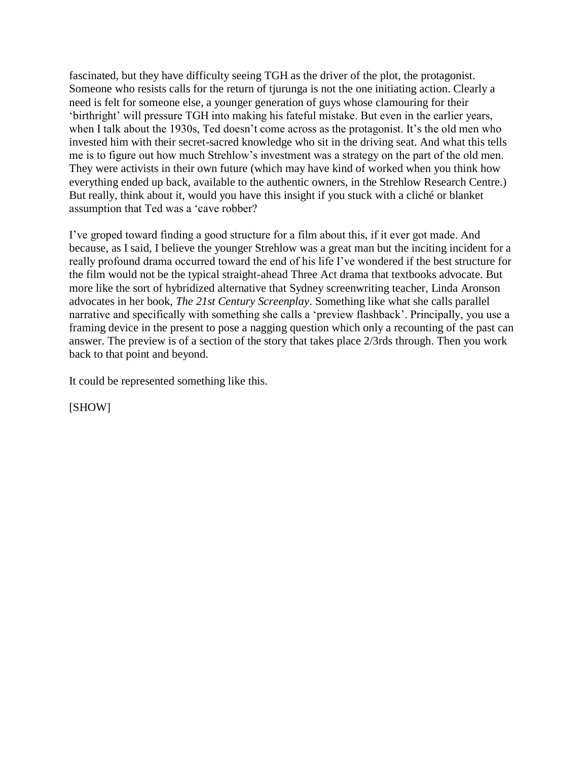fascinated, but they have difficulty seeing TGH as the driver of the plot, the protagonist. Someone who resists calls for the return of tjurunga is not the one initiating action. Clearly a need is felt for someone else, a younger generation of guys whose clamouring for their "birthright" will pressure TGH into making his fateful mistake. But even in the earlier years, when I talk about the 1930s, Ted doesn't come across as the protagonist. It's the old men who invested him with their secret-sacred knowledge who sit in the driving seat. And what this tells me is to figure out how much Strehlow"s investment was a strategy on the part of the old men. They were activists in their own future (which may have kind of worked when you think how everything ended up back, available to the authentic owners, in the Strehlow Research Centre.) But really, think about it, would you have this insight if you stuck with a cliché or blanket assumption that Ted was a "cave robber?

I"ve groped toward finding a good structure for a film about this, if it ever got made. And because, as I said, I believe the younger Strehlow was a great man but the inciting incident for a really profound drama occurred toward the end of his life I"ve wondered if the best structure for the film would not be the typical straight-ahead Three Act drama that textbooks advocate. But more like the sort of hybridized alternative that Sydney screenwriting teacher, Linda Aronson advocates in her book, *The 21st Century Screenplay*. Something like what she calls parallel narrative and specifically with something she calls a "preview flashback". Principally, you use a framing device in the present to pose a nagging question which only a recounting of the past can answer. The preview is of a section of the story that takes place 2/3rds through. Then you work back to that point and beyond.

It could be represented something like this.

[SHOW]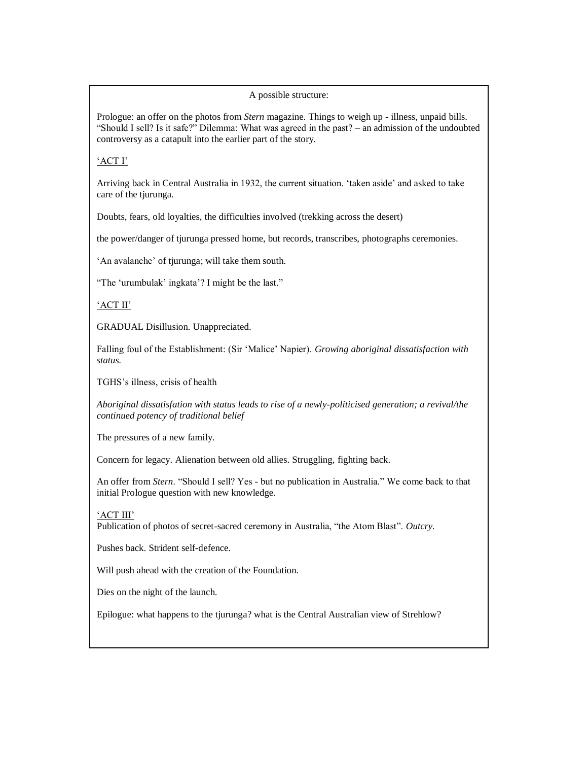#### A possible structure:

Prologue: an offer on the photos from *Stern* magazine. Things to weigh up - illness, unpaid bills. "Should I sell? Is it safe?" Dilemma: What was agreed in the past? – an admission of the undoubted controversy as a catapult into the earlier part of the story.

### "ACT I"

Arriving back in Central Australia in 1932, the current situation. "taken aside" and asked to take care of the tjurunga.

Doubts, fears, old loyalties, the difficulties involved (trekking across the desert)

the power/danger of tjurunga pressed home, but records, transcribes, photographs ceremonies.

'An avalanche' of tjurunga; will take them south.

"The "urumbulak" ingkata"? I might be the last."

### 'ACT II'

GRADUAL Disillusion. Unappreciated.

Falling foul of the Establishment: (Sir "Malice" Napier). *Growing aboriginal dissatisfaction with status.*

TGHS"s illness, crisis of health

*Aboriginal dissatisfation with status leads to rise of a newly-politicised generation; a revival/the continued potency of traditional belief*

The pressures of a new family.

Concern for legacy. Alienation between old allies. Struggling, fighting back.

An offer from *Stern*. "Should I sell? Yes - but no publication in Australia." We come back to that initial Prologue question with new knowledge.

### "ACT III"

Publication of photos of secret-sacred ceremony in Australia, "the Atom Blast". *Outcry.*

Pushes back. Strident self-defence.

Will push ahead with the creation of the Foundation.

Dies on the night of the launch.

Epilogue: what happens to the tjurunga? what is the Central Australian view of Strehlow?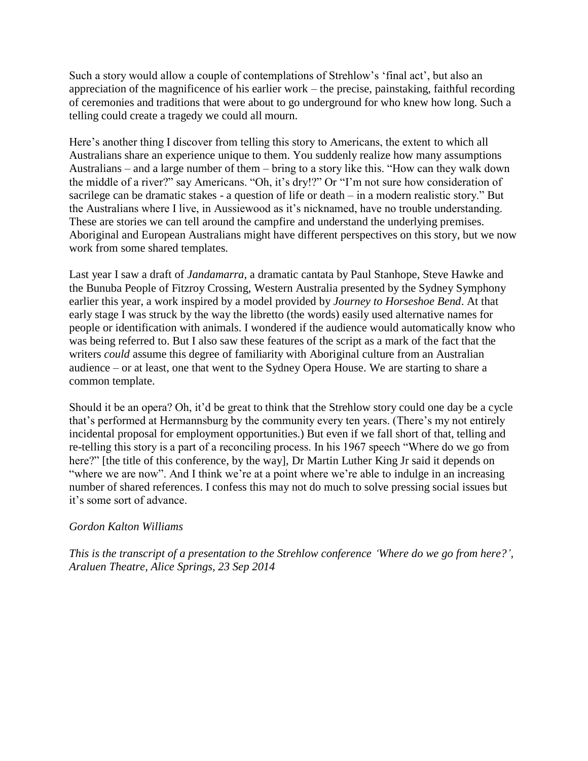Such a story would allow a couple of contemplations of Strehlow"s "final act", but also an appreciation of the magnificence of his earlier work – the precise, painstaking, faithful recording of ceremonies and traditions that were about to go underground for who knew how long. Such a telling could create a tragedy we could all mourn.

Here's another thing I discover from telling this story to Americans, the extent to which all Australians share an experience unique to them. You suddenly realize how many assumptions Australians – and a large number of them – bring to a story like this. "How can they walk down the middle of a river?" say Americans. "Oh, it's dry!?" Or "I'm not sure how consideration of sacrilege can be dramatic stakes - a question of life or death – in a modern realistic story." But the Australians where I live, in Aussiewood as it's nicknamed, have no trouble understanding. These are stories we can tell around the campfire and understand the underlying premises. Aboriginal and European Australians might have different perspectives on this story, but we now work from some shared templates.

Last year I saw a draft of *Jandamarra*, a dramatic cantata by Paul Stanhope, Steve Hawke and the Bunuba People of Fitzroy Crossing, Western Australia presented by the Sydney Symphony earlier this year, a work inspired by a model provided by *Journey to Horseshoe Bend*. At that early stage I was struck by the way the libretto (the words) easily used alternative names for people or identification with animals. I wondered if the audience would automatically know who was being referred to. But I also saw these features of the script as a mark of the fact that the writers *could* assume this degree of familiarity with Aboriginal culture from an Australian audience – or at least, one that went to the Sydney Opera House. We are starting to share a common template.

Should it be an opera? Oh, it'd be great to think that the Strehlow story could one day be a cycle that"s performed at Hermannsburg by the community every ten years. (There"s my not entirely incidental proposal for employment opportunities.) But even if we fall short of that, telling and re-telling this story is a part of a reconciling process. In his 1967 speech "Where do we go from here?" [the title of this conference, by the way], Dr Martin Luther King Jr said it depends on "where we are now". And I think we're at a point where we're able to indulge in an increasing number of shared references. I confess this may not do much to solve pressing social issues but it"s some sort of advance.

# *Gordon Kalton Williams*

*This is the transcript of a presentation to the Strehlow conference 'Where do we go from here?', Araluen Theatre, Alice Springs, 23 Sep 2014*